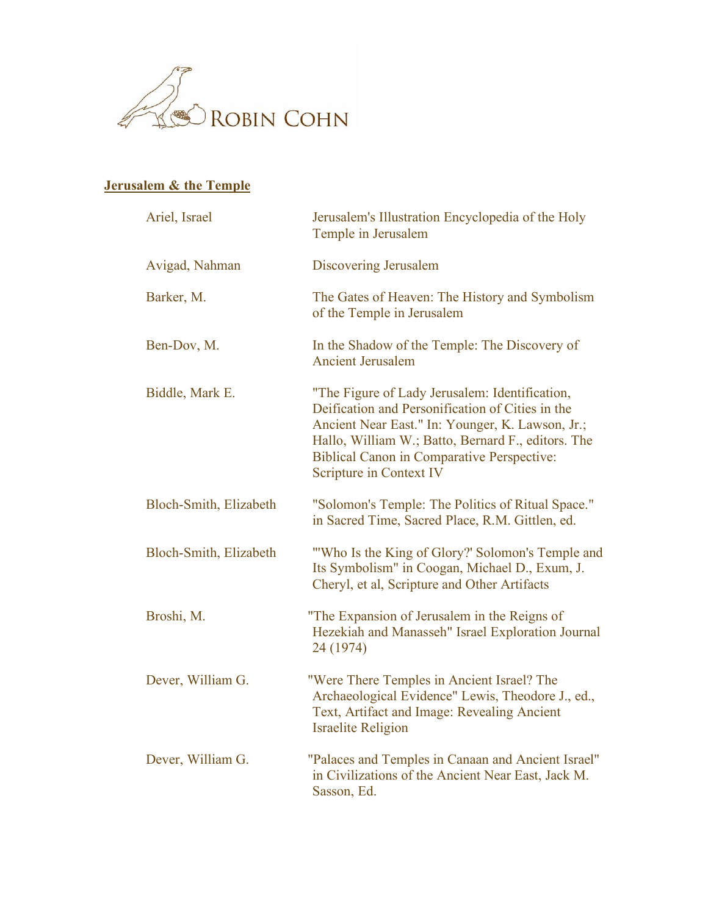

## **Jerusalem & the Temple**

| Ariel, Israel          | Jerusalem's Illustration Encyclopedia of the Holy<br>Temple in Jerusalem                                                                                                                                                                                                                     |
|------------------------|----------------------------------------------------------------------------------------------------------------------------------------------------------------------------------------------------------------------------------------------------------------------------------------------|
| Avigad, Nahman         | <b>Discovering Jerusalem</b>                                                                                                                                                                                                                                                                 |
| Barker, M.             | The Gates of Heaven: The History and Symbolism<br>of the Temple in Jerusalem                                                                                                                                                                                                                 |
| Ben-Dov, M.            | In the Shadow of the Temple: The Discovery of<br><b>Ancient Jerusalem</b>                                                                                                                                                                                                                    |
| Biddle, Mark E.        | "The Figure of Lady Jerusalem: Identification,<br>Deification and Personification of Cities in the<br>Ancient Near East." In: Younger, K. Lawson, Jr.;<br>Hallo, William W.; Batto, Bernard F., editors. The<br><b>Biblical Canon in Comparative Perspective:</b><br>Scripture in Context IV |
| Bloch-Smith, Elizabeth | "Solomon's Temple: The Politics of Ritual Space."<br>in Sacred Time, Sacred Place, R.M. Gittlen, ed.                                                                                                                                                                                         |
| Bloch-Smith, Elizabeth | "Who Is the King of Glory?' Solomon's Temple and<br>Its Symbolism" in Coogan, Michael D., Exum, J.<br>Cheryl, et al, Scripture and Other Artifacts                                                                                                                                           |
| Broshi, M.             | "The Expansion of Jerusalem in the Reigns of<br>Hezekiah and Manasseh" Israel Exploration Journal<br>24 (1974)                                                                                                                                                                               |
| Dever, William G.      | "Were There Temples in Ancient Israel? The<br>Archaeological Evidence" Lewis, Theodore J., ed.,<br>Text, Artifact and Image: Revealing Ancient<br><b>Israelite Religion</b>                                                                                                                  |
| Dever, William G.      | "Palaces and Temples in Canaan and Ancient Israel"<br>in Civilizations of the Ancient Near East, Jack M.<br>Sasson, Ed.                                                                                                                                                                      |